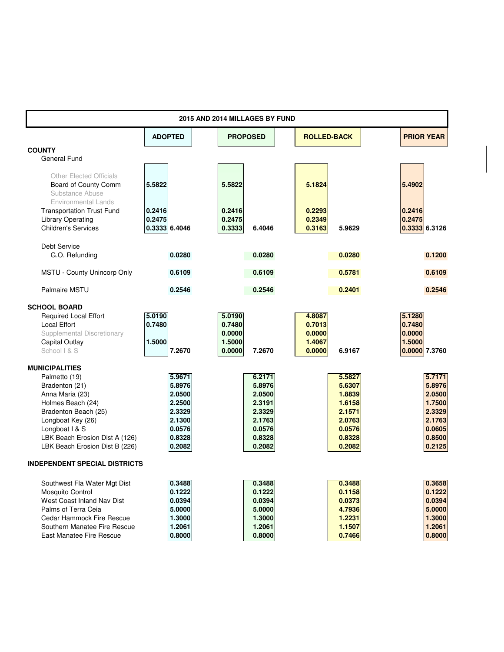| 2015 AND 2014 MILLAGES BY FUND                         |                |                  |                    |                   |  |  |  |  |  |  |  |
|--------------------------------------------------------|----------------|------------------|--------------------|-------------------|--|--|--|--|--|--|--|
|                                                        | <b>ADOPTED</b> | <b>PROPOSED</b>  | <b>ROLLED-BACK</b> | <b>PRIOR YEAR</b> |  |  |  |  |  |  |  |
| <b>COUNTY</b>                                          |                |                  |                    |                   |  |  |  |  |  |  |  |
| <b>General Fund</b>                                    |                |                  |                    |                   |  |  |  |  |  |  |  |
| <b>Other Elected Officials</b><br>Board of County Comm | 5.5822         | 5.5822           | 5.1824             | 5.4902            |  |  |  |  |  |  |  |
| Substance Abuse<br><b>Environmental Lands</b>          |                |                  |                    |                   |  |  |  |  |  |  |  |
| <b>Transportation Trust Fund</b>                       | 0.2416         | 0.2416           | 0.2293             | 0.2416            |  |  |  |  |  |  |  |
| <b>Library Operating</b>                               | 0.2475         | 0.2475           | 0.2349             | 0.2475            |  |  |  |  |  |  |  |
| <b>Children's Services</b>                             | 0.3333 6.4046  | 0.3333<br>6.4046 | 0.3163<br>5.9629   | 0.3333 6.3126     |  |  |  |  |  |  |  |
| <b>Debt Service</b>                                    |                |                  |                    |                   |  |  |  |  |  |  |  |
| G.O. Refunding                                         | 0.0280         | 0.0280           | 0.0280             | 0.1200            |  |  |  |  |  |  |  |
| MSTU - County Unincorp Only                            | 0.6109         | 0.6109           | 0.5781             | 0.6109            |  |  |  |  |  |  |  |
| <b>Palmaire MSTU</b>                                   | 0.2546         | 0.2546           | 0.2401             | 0.2546            |  |  |  |  |  |  |  |
| <b>SCHOOL BOARD</b>                                    |                |                  |                    |                   |  |  |  |  |  |  |  |
| <b>Required Local Effort</b>                           | 5.0190         | 5.0190           | 4.8087             | 5.1280            |  |  |  |  |  |  |  |
| <b>Local Effort</b>                                    | 0.7480         | 0.7480           | 0.7013             | 0.7480            |  |  |  |  |  |  |  |
| Supplemental Discretionary                             |                | 0.0000           | 0.0000             | 0.0000            |  |  |  |  |  |  |  |
| Capital Outlay                                         | 1.5000         | 1.5000           | 1.4067             | 1.5000            |  |  |  |  |  |  |  |
| School   & S                                           | 7.2670         | 0.0000<br>7.2670 | 0.0000<br>6.9167   | 0.0000 7.3760     |  |  |  |  |  |  |  |
| <b>MUNICIPALITIES</b>                                  |                |                  |                    |                   |  |  |  |  |  |  |  |
| Palmetto (19)                                          | 5.9671         | 6.2171           | 5.5827             | 5.7171            |  |  |  |  |  |  |  |
| Bradenton (21)                                         | 5.8976         | 5.8976           | 5.6307             | 5.8976            |  |  |  |  |  |  |  |
| Anna Maria (23)                                        | 2.0500         | 2.0500           | 1.8839             | 2.0500            |  |  |  |  |  |  |  |
| Holmes Beach (24)                                      | 2.2500         | 2.3191           | 1.6158             | 1.7500            |  |  |  |  |  |  |  |
| Bradenton Beach (25)                                   | 2.3329         | 2.3329           | 2.1571             | 2.3329            |  |  |  |  |  |  |  |
| Longboat Key (26)                                      | 2.1300         | 2.1763           | 2.0763             | 2.1763            |  |  |  |  |  |  |  |
| Longboat I & S                                         | 0.0576         | 0.0576           | 0.0576             | 0.0605            |  |  |  |  |  |  |  |
| LBK Beach Erosion Dist A (126)                         | 0.8328         | 0.8328           | 0.8328             | 0.8500            |  |  |  |  |  |  |  |
| LBK Beach Erosion Dist B (226)                         | 0.2082         | 0.2082           | 0.2082             | 0.2125            |  |  |  |  |  |  |  |
| <b>INDEPENDENT SPECIAL DISTRICTS</b>                   |                |                  |                    |                   |  |  |  |  |  |  |  |
| Southwest Fla Water Mgt Dist                           | 0.3488         | 0.3488           | 0.3488             | 0.3658            |  |  |  |  |  |  |  |
| Mosquito Control                                       | 0.1222         | 0.1222           | 0.1158             | 0.1222            |  |  |  |  |  |  |  |
| West Coast Inland Nav Dist                             | 0.0394         | 0.0394           | 0.0373             | 0.0394            |  |  |  |  |  |  |  |
| Palms of Terra Ceia                                    | 5.0000         | 5.0000           | 4.7936             | 5.0000            |  |  |  |  |  |  |  |
| Cedar Hammock Fire Rescue                              | 1.3000         | 1.3000           | 1.2231             | 1.3000            |  |  |  |  |  |  |  |
| Southern Manatee Fire Rescue                           | 1.2061         | 1.2061           | 1.1507             | 1.2061            |  |  |  |  |  |  |  |
| East Manatee Fire Rescue                               | 0.8000         | 0.8000           | 0.7466             | 0.8000            |  |  |  |  |  |  |  |